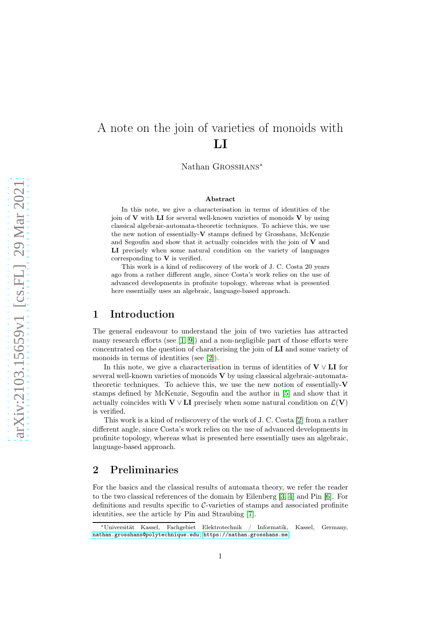# A note on the join of varieties of monoids with LI

Nathan Grosshans<sup>∗</sup>

#### Abstract

In this note, we give a characterisation in terms of identities of the join of  $V$  with LI for several well-known varieties of monoids  $V$  by using classical algebraic-automata-theoretic techniques. To achieve this, we use the new notion of essentially-V stamps defined by Grosshans, McKenzie and Segoufin and show that it actually coincides with the join of  $V$  and LI precisely when some natural condition on the variety of languages corresponding to  $V$  is verified.

This work is a kind of rediscovery of the work of J. C. Costa 20 years ago from a rather different angle, since Costa's work relies on the use of advanced developments in profinite topology, whereas what is presented here essentially uses an algebraic, language-based approach.

#### 1 Introduction

The general endeavour to understand the join of two varieties has attracted many research efforts (see [1, [9\]](#page-11-0)) and a non-negligible part of those efforts were concentrated on the question of charaterising the join of LI and some variety of monoids in terms of identities (see [\[2\]](#page-11-1)).

In this note, we give a characterisation in terms of identities of  $V \vee LI$  for several well-known varieties of monoids V by using classical algebraic-automatatheoretic techniques. To achieve this, we use the new notion of essentially-V stamps defined by McKenzie, Segoufin and the author in [\[5\]](#page-11-2) and show that it actually coincides with  $V \vee L I$  precisely when some natural condition on  $\mathcal{L}(V)$ is verified.

This work is a kind of rediscovery of the work of J. C. Costa [\[2\]](#page-11-1) from a rather different angle, since Costa's work relies on the use of advanced developments in profinite topology, whereas what is presented here essentially uses an algebraic, language-based approach.

## 2 Preliminaries

For the basics and the classical results of automata theory, we refer the reader to the two classical references of the domain by Eilenberg [3, 4] and Pin [6]. For definitions and results specific to C-varieties of stamps and associated profinite identities, see the article by Pin and Straubing [\[7\]](#page-11-3).

<sup>∗</sup>Universität Kassel, Fachgebiet Elektrotechnik / Informatik, Kassel, Germany, [nathan.grosshans@polytechnique.edu](mailto:nathan.grosshans@polytechnique.edu), <https://nathan.grosshans.me>.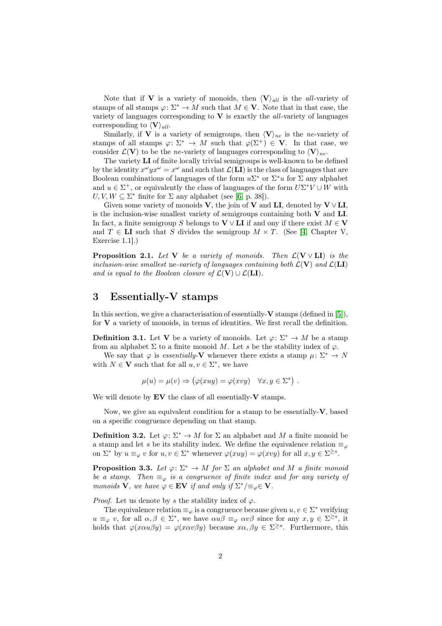Note that if **V** is a variety of monoids, then  $\langle V \rangle_{all}$  is the *all*-variety of stamps of all stamps  $\varphi: \Sigma^* \to M$  such that  $M \in \mathbf{V}$ . Note that in that case, the variety of languages corresponding to  $V$  is exactly the *all*-variety of languages corresponding to  $\langle V \rangle_{all}$ .

Similarly, if **V** is a variety of semigroups, then  $\langle V \rangle_{ne}$  is the ne-variety of stamps of all stamps  $\varphi: \Sigma^* \to M$  such that  $\varphi(\Sigma^+) \in \mathbf{V}$ . In that case, we consider  $\mathcal{L}(\mathbf{V})$  to be the ne-variety of languages corresponding to  $\langle \mathbf{V} \rangle_{ne}$ .

The variety LI of finite locally trivial semigroups is well-known to be defined by the identity  $x^{\omega} y x^{\omega} = x^{\omega}$  and such that  $\mathcal{L}(LI)$  is the class of languages that are Boolean combinations of languages of the form  $u\Sigma^*$  or  $\Sigma^*u$  for  $\Sigma$  any alphabet and  $u \in \Sigma^+$ , or equivalently the class of languages of the form  $U\Sigma^* V \cup W$  with  $U, V, W \subseteq \Sigma^*$  finite for  $\Sigma$  any alphabet (see [6, p. 38]).

Given some variety of monoids V, the join of V and LI, denoted by  $V \vee LI$ , is the inclusion-wise smallest variety of semigroups containing both  $V$  and  $LI$ . In fact, a finite semigroup S belongs to  $V \vee L I$  if and ony if there exist  $M \in V$ and  $T \in \mathbf{LI}$  such that S divides the semigroup  $M \times T$ . (See [4, Chapter V, Exercise 1.1].)

<span id="page-1-1"></span>**Proposition 2.1.** Let V be a variety of monoids. Then  $\mathcal{L}(V \vee LI)$  is the inclusion-wise smallest ne-variety of languages containing both  $\mathcal{L}(\mathbf{V})$  and  $\mathcal{L}(\mathbf{LI})$ and is equal to the Boolean closure of  $\mathcal{L}(\mathbf{V}) \cup \mathcal{L}(\mathbf{LI}).$ 

# 3 Essentially-V stamps

In this section, we give a characterisation of essentially- $V$  stamps (defined in [\[5\]](#page-11-2)), for  $V$  a variety of monoids, in terms of identities. We first recall the definition.

**Definition 3.1.** Let **V** be a variety of monoids. Let  $\varphi: \Sigma^* \to M$  be a stamp from an alphabet  $\Sigma$  to a finite monoid M. Let s be the stability index of  $\varphi$ .

We say that  $\varphi$  is *essentially*-**V** whenever there exists a stamp  $\mu: \Sigma^* \to N$ with  $N \in V$  such that for all  $u, v \in \Sigma^*$ , we have

$$
\mu(u) = \mu(v) \Rightarrow (\varphi(xuy) = \varphi(xvy) \quad \forall x, y \in \Sigma^s) .
$$

We will denote by  $EV$  the class of all essentially- $V$  stamps.

Now, we give an equivalent condition for a stamp to be essentially- $V$ , based on a specific congruence depending on that stamp.

**Definition 3.2.** Let  $\varphi: \Sigma^* \to M$  for  $\Sigma$  an alphabet and M a finite monoid be a stamp and let s be its stability index. We define the equivalence relation  $\equiv_{\varphi}$ on  $\Sigma^*$  by  $u \equiv_{\varphi} v$  for  $u, v \in \Sigma^*$  whenever  $\varphi(xuy) = \varphi(xvy)$  for all  $x, y \in \Sigma^{\geq s}$ .

<span id="page-1-0"></span>**Proposition 3.3.** Let  $\varphi: \Sigma^* \to M$  for  $\Sigma$  an alphabet and M a finite monoid be a stamp. Then  $\equiv_{\varphi}$  is a congruence of finite index and for any variety of monoids **V**, we have  $\varphi \in \mathbf{EV}$  if and only if  $\Sigma^* / \equiv_{\varphi} \in \mathbf{V}$ .

*Proof.* Let us denote by s the stability index of  $\varphi$ .

The equivalence relation  $\equiv_{\varphi}$  is a congruence because given  $u, v \in \Sigma^*$  verifying  $u \equiv_{\varphi} v$ , for all  $\alpha, \beta \in \Sigma^*$ , we have  $\alpha u \beta \equiv_{\varphi} \alpha v \beta$  since for any  $x, y \in \Sigma^{\geq s}$ , it holds that  $\varphi(x\alpha u\beta y) = \varphi(x\alpha v\beta y)$  because  $x\alpha, \beta y \in \Sigma^{\geq s}$ . Furthermore, this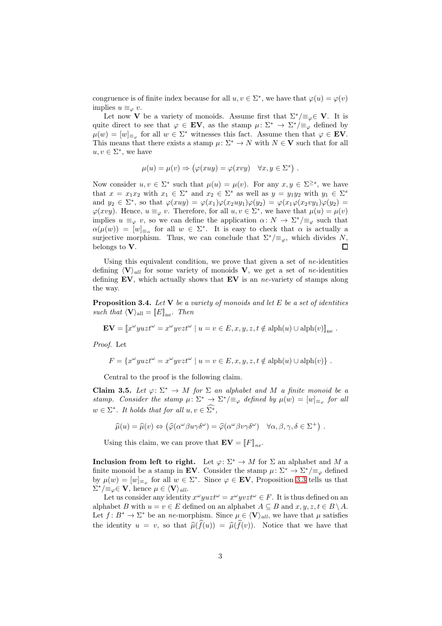congruence is of finite index because for all  $u, v \in \Sigma^*$ , we have that  $\varphi(u) = \varphi(v)$ implies  $u \equiv_{\varphi} v$ .

Let now **V** be a variety of monoids. Assume first that  $\Sigma^* / \equiv_{\varphi} \in \mathbf{V}$ . It is quite direct to see that  $\varphi \in \mathbf{EV}$ , as the stamp  $\mu \colon \Sigma^* \to \Sigma^* / \equiv_{\varphi}$  defined by  $\mu(w) = [w]_{\equiv_{\varphi}}$  for all  $w \in \Sigma^*$  witnesses this fact. Assume then that  $\varphi \in \mathbf{EV}$ . This means that there exists a stamp  $\mu: \Sigma^* \to N$  with  $N \in V$  such that for all  $u, v \in \Sigma^*$ , we have

$$
\mu(u) = \mu(v) \Rightarrow (\varphi(xuy) = \varphi(xvy) \quad \forall x, y \in \Sigma^s) .
$$

Now consider  $u, v \in \Sigma^*$  such that  $\mu(u) = \mu(v)$ . For any  $x, y \in \Sigma^{\geq s}$ , we have that  $x = x_1 x_2$  with  $x_1 \in \Sigma^*$  and  $x_2 \in \Sigma^s$  as well as  $y = y_1 y_2$  with  $y_1 \in \Sigma^s$ and  $y_2 \in \Sigma^*$ , so that  $\varphi(xuy) = \varphi(x_1)\varphi(x_2uy_1)\varphi(y_2) = \varphi(x_1\varphi(x_2vy_1)\varphi(y_2) =$  $\varphi(xvy)$ . Hence,  $u \equiv_{\varphi} v$ . Therefore, for all  $u, v \in \Sigma^*$ , we have that  $\mu(u) = \mu(v)$ implies  $u \equiv_{\varphi} v$ , so we can define the application  $\alpha \colon N \to \Sigma^* / \equiv_{\varphi}$  such that  $\alpha(\mu(w)) = [w]_{\equiv_{\alpha}}$  for all  $w \in \Sigma^*$ . It is easy to check that  $\alpha$  is actually a surjective morphism. Thus, we can conclude that  $\Sigma^*/\equiv_\varphi$ , which divides N, belongs to V.  $\Box$ 

Using this equivalent condition, we prove that given a set of  $ne$ -identities defining  $\langle V \rangle_{all}$  for some variety of monoids V, we get a set of ne-identities defining  $EV$ , which actually shows that  $EV$  is an ne-variety of stamps along the way.

**Proposition 3.4.** Let  $V$  be a variety of monoids and let  $E$  be a set of identities such that  $\langle V \rangle_{\text{all}} = [E]_{\text{ne}}$ . Then

$$
\mathbf{EV} = [x^{\omega}yuzt^{\omega} = x^{\omega}yvzt^{\omega} \mid u = v \in E, x, y, z, t \notin \text{alph}(u) \cup \text{alph}(v)]_{\text{ne}}.
$$

Proof. Let

$$
F = \{x^{\omega}yuzt^{\omega} = x^{\omega}yvzt^{\omega} \mid u = v \in E, x, y, z, t \notin \text{alph}(u) \cup \text{alph}(v)\} .
$$

Central to the proof is the following claim.

<span id="page-2-0"></span>Claim 3.5. Let  $\varphi: \Sigma^* \to M$  for  $\Sigma$  an alphabet and M a finite monoid be a stamp. Consider the stamp  $\mu: \Sigma^* \to \Sigma^* / \equiv_{\varphi}$  defined by  $\mu(w) = [w]_{\equiv_{\varphi}}$  for all  $w \in \Sigma^*$ . It holds that for all  $u, v \in \Sigma^*$ ,

$$
\widehat{\mu}(u) = \widehat{\mu}(v) \Leftrightarrow (\widehat{\varphi}(\alpha^{\omega}\beta u \gamma \delta^{\omega}) = \widehat{\varphi}(\alpha^{\omega}\beta v \gamma \delta^{\omega}) \quad \forall \alpha, \beta, \gamma, \delta \in \Sigma^+).
$$

Using this claim, we can prove that  $\mathbf{EV} = \llbracket F \rrbracket_{ne}$ .

Inclusion from left to right. Let  $\varphi: \Sigma^* \to M$  for  $\Sigma$  an alphabet and M a finite monoid be a stamp in EV. Consider the stamp  $\mu : \Sigma^* \to \Sigma^* / \equiv_{\varphi}$  defined by  $\mu(w) = [w]_{\equiv_{\varphi}}$  for all  $w \in \Sigma^*$ . Since  $\varphi \in \mathbf{EV}$ , Proposition [3.3](#page-1-0) tells us that  $\Sigma^*/\equiv_\varphi \in \mathbf{V}$ , hence  $\mu \in \langle \mathbf{V} \rangle_{all}$ .

Let us consider any identity  $x^{\omega}yuzt^{\omega} = x^{\omega}yvzt^{\omega} \in F$ . It is thus defined on an alphabet B with  $u = v \in E$  defined on an alphabet  $A \subseteq B$  and  $x, y, z, t \in B \setminus A$ . Let  $f: B^* \to \Sigma^*$  be an ne-morphism. Since  $\mu \in \langle V \rangle_{all}$ , we have that  $\mu$  satisfies the identity  $u = v$ , so that  $\widehat{\mu}(\widehat{f}(u)) = \widehat{\mu}(\widehat{f}(v))$ . Notice that we have that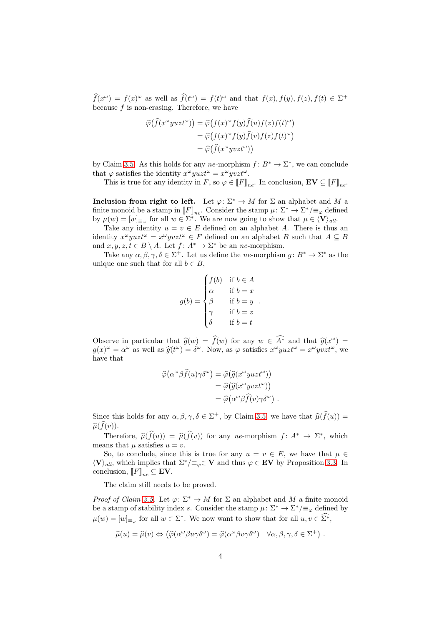$\widehat{f}(x^{\omega}) = f(x)^{\omega}$  as well as  $\widehat{f}(t^{\omega}) = f(t)^{\omega}$  and that  $f(x), f(y), f(z), f(t) \in \Sigma^{+}$ because  $f$  is non-erasing. Therefore, we have

$$
\begin{aligned}\n\widehat{\varphi}(\widehat{f}(x^{\omega}yuzt^{\omega})) &= \widehat{\varphi}(f(x)^{\omega}f(y)\widehat{f}(u)f(z)f(t)^{\omega}) \\
&= \widehat{\varphi}(f(x)^{\omega}f(y)\widehat{f}(v)f(z)f(t)^{\omega}) \\
&= \widehat{\varphi}(\widehat{f}(x^{\omega}yvzt^{\omega}))\n\end{aligned}
$$

by Claim [3.5.](#page-2-0) As this holds for any ne-morphism  $f: B^* \to \Sigma^*$ , we can conclude that  $\varphi$  satisfies the identity  $x^{\omega} y u z t^{\omega} = x^{\omega} y v z t^{\omega}$ .

This is true for any identity in F, so  $\varphi \in [F]_{ne}$ . In conclusion,  $\mathbf{EV} \subseteq [F]_{ne}$ .

Inclusion from right to left. Let  $\varphi: \Sigma^* \to M$  for  $\Sigma$  an alphabet and M a finite monoid be a stamp in  $[[F]]_{ne}$ . Consider the stamp  $\mu: \Sigma^* \to \Sigma^* / \equiv_{\varphi}$  defined by  $\mu(w) = [w]_{\equiv_{\varphi}}$  for all  $w \in \Sigma^*$ . We are now going to show that  $\mu \in \langle V \rangle_{all}$ .

Take any identity  $u = v \in E$  defined on an alphabet A. There is thus an identity  $x^{\omega} y u z t^{\omega} = x^{\omega} y v z t^{\omega} \in F$  defined on an alphabet B such that  $A \subseteq B$ and  $x, y, z, t \in B \setminus A$ . Let  $f: A^* \to \Sigma^*$  be an *ne*-morphism.

Take any  $\alpha, \beta, \gamma, \delta \in \Sigma^+$ . Let us define the ne-morphism  $g: B^* \to \Sigma^*$  as the unique one such that for all  $b \in B$ ,

$$
g(b) = \begin{cases} f(b) & \text{if } b \in A \\ \alpha & \text{if } b = x \\ \beta & \text{if } b = y \\ \gamma & \text{if } b = z \\ \delta & \text{if } b = t \end{cases}.
$$

Observe in particular that  $\hat{g}(w) = \hat{f}(w)$  for any  $w \in A^*$  and that  $\hat{g}(x^{\omega}) =$  $g(x)^\omega = \alpha^\omega$  as well as  $\hat{g}(t^\omega) = \delta^\omega$ . Now, as  $\varphi$  satisfies  $x^\omega y u z t^\omega = x^\omega y v z t^\omega$ , we have that

$$
\begin{aligned}\n\widehat{\varphi}(\alpha^{\omega}\beta\widehat{f}(u)\gamma\delta^{\omega}) &= \widehat{\varphi}(\widehat{g}(x^{\omega}yuzt^{\omega})) \\
&= \widehat{\varphi}(\widehat{g}(x^{\omega}yvzt^{\omega})) \\
&= \widehat{\varphi}(\alpha^{\omega}\beta\widehat{f}(v)\gamma\delta^{\omega})\n\end{aligned}.
$$

Since this holds for any  $\alpha, \beta, \gamma, \delta \in \Sigma^+$ , by Claim [3.5,](#page-2-0) we have that  $\widehat{\mu}(\widehat{f}(u)) =$  $\widehat{\mu}(\widehat{f}(v)).$ 

Therefore,  $\widehat{\mu}(f(u)) = \widehat{\mu}(f(v))$  for any ne-morphism  $f: A^* \to \Sigma^*$ , which means that  $\mu$  satisfies  $u = v$ .

So, to conclude, since this is true for any  $u = v \in E$ , we have that  $\mu \in$  $\langle V \rangle_{all}$ , which implies that  $\Sigma^* / \equiv_{\varphi} \in \mathbf{V}$  and thus  $\varphi \in \mathbf{EV}$  by Proposition [3.3.](#page-1-0) In conclusion,  $[F]_{ne} \subseteq$  **EV**.

The claim still needs to be proved.

*Proof of Claim [3.5.](#page-2-0)* Let  $\varphi: \Sigma^* \to M$  for  $\Sigma$  an alphabet and M a finite monoid be a stamp of stability index s. Consider the stamp  $\mu: \Sigma^* \to \Sigma^* / \equiv_{\varphi}$  defined by  $\mu(w) = [w]_{\equiv_{\varphi}}$  for all  $w \in \Sigma^*$ . We now want to show that for all  $u, v \in \Sigma^*$ ,

$$
\widehat{\mu}(u) = \widehat{\mu}(v) \Leftrightarrow (\widehat{\varphi}(\alpha^{\omega}\beta u \gamma \delta^{\omega}) = \widehat{\varphi}(\alpha^{\omega}\beta v \gamma \delta^{\omega}) \quad \forall \alpha, \beta, \gamma, \delta \in \Sigma^+).
$$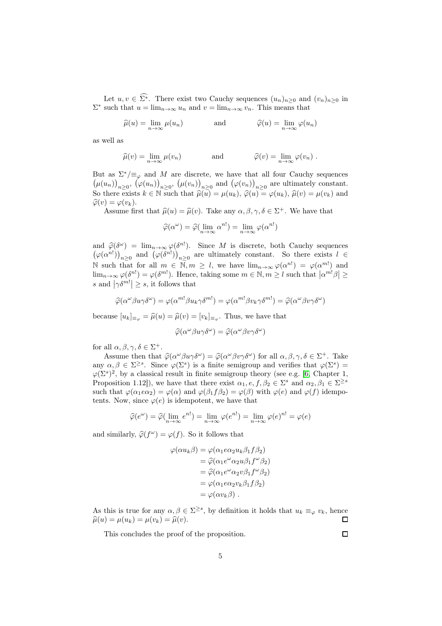Let  $u, v \in \widehat{\Sigma^*}$ . There exist two Cauchy sequences  $(u_n)_{n\geq 0}$  and  $(v_n)_{n\geq 0}$  in  $\Sigma^*$  such that  $u = \lim_{n \to \infty} u_n$  and  $v = \lim_{n \to \infty} v_n$ . This means that

$$
\widehat{\mu}(u) = \lim_{n \to \infty} \mu(u_n) \qquad \text{and} \qquad \widehat{\varphi}(u) = \lim_{n \to \infty} \varphi(u_n)
$$

as well as

$$
\widehat{\mu}(v) = \lim_{n \to \infty} \mu(v_n) \quad \text{and} \quad \widehat{\varphi}(v) = \lim_{n \to \infty} \varphi(v_n) .
$$

But as  $\Sigma^* / \equiv_{\varphi}$  and M are discrete, we have that all four Cauchy sequences  $(\mu(u_n))_{n\geq 0}$ ,  $(\varphi(u_n))_{n\geq 0}$ ,  $(\mu(v_n))_{n\geq 0}$  and  $(\varphi(v_n))_{n\geq 0}$  are ultimately constant. So there exists  $k \in \mathbb{N}$  such that  $\widehat{\mu}(u) = \mu(u_k)$ ,  $\widehat{\varphi}(u) = \varphi(u_k)$ ,  $\widehat{\mu}(v) = \mu(v_k)$  and  $\widehat{\varphi}(v) = \varphi(v_k).$ 

Assume first that  $\hat{\mu}(u) = \hat{\mu}(v)$ . Take any  $\alpha, \beta, \gamma, \delta \in \Sigma^{+}$ . We have that

$$
\widehat{\varphi}(\alpha^{\omega}) = \widehat{\varphi}(\lim_{n \to \infty} \alpha^{n!}) = \lim_{n \to \infty} \varphi(\alpha^{n!})
$$

and  $\hat{\varphi}(\delta^{\omega}) = \lim_{n \to \infty} \varphi(\delta^{n!})$ . Since M is discrete, both Cauchy sequences  $(\varphi(\alpha^{n!}))_{n\geq 0}$  and  $(\varphi(\delta^{n!}))_{n\geq 0}$  are ultimately constant. So there exists  $l \in$ N such that for all  $m \in \overline{\mathbb{N}}, m \geq l$ , we have  $\lim_{n\to\infty} \varphi(\alpha^{n!}) = \varphi(\alpha^{m!})$  and  $\lim_{n\to\infty}\varphi(\delta^{n!})=\varphi(\delta^{m!})$ . Hence, taking some  $m\in\mathbb{N}, m\geq l$  such that  $|\alpha^{m!}\beta|\geq l$ s and  $|\gamma \delta^{m!}| \geq s$ , it follows that

$$
\widehat{\varphi}(\alpha^{\omega}\beta u \gamma \delta^{\omega}) = \varphi(\alpha^{m!}\beta u_k \gamma \delta^{m!}) = \varphi(\alpha^{m!}\beta v_k \gamma \delta^{m!}) = \widehat{\varphi}(\alpha^{\omega}\beta v \gamma \delta^{\omega})
$$

because  $[u_k]_{\equiv_\varphi} = \widehat{\mu}(u) = \widehat{\mu}(v) = [v_k]_{\equiv_\varphi}$ . Thus, we have that

$$
\widehat{\varphi}(\alpha^{\omega}\beta u \gamma \delta^{\omega}) = \widehat{\varphi}(\alpha^{\omega}\beta v \gamma \delta^{\omega})
$$

for all  $\alpha, \beta, \gamma, \delta \in \Sigma^+$ .

Assume then that  $\hat{\varphi}(\alpha^{\omega}\beta u\gamma\delta^{\omega}) = \hat{\varphi}(\alpha^{\omega}\beta v\gamma\delta^{\omega})$  for all  $\alpha, \beta, \gamma, \delta \in \Sigma^+$ . Take any  $\alpha, \beta \in \Sigma^{\geq s}$ . Since  $\varphi(\Sigma^s)$  is a finite semigroup and verifies that  $\varphi(\Sigma^s)$  =  $\varphi(\Sigma^s)^2$ , by a classical result in finite semigroup theory (see e.g. [6, Chapter 1, Proposition 1.12]), we have that there exist  $\alpha_1, e, f, \beta_2 \in \Sigma^s$  and  $\alpha_2, \beta_1 \in \Sigma^{\geq s}$ such that  $\varphi(\alpha_1 e \alpha_2) = \varphi(\alpha)$  and  $\varphi(\beta_1 f \beta_2) = \varphi(\beta)$  with  $\varphi(e)$  and  $\varphi(f)$  idempotents. Now, since  $\varphi(e)$  is idempotent, we have that

$$
\widehat{\varphi}(e^{\omega}) = \widehat{\varphi}(\lim_{n \to \infty} e^{n!}) = \lim_{n \to \infty} \varphi(e^{n!}) = \lim_{n \to \infty} \varphi(e)^{n!} = \varphi(e)
$$

and similarly,  $\hat{\varphi}(f^{\omega}) = \varphi(f)$ . So it follows that

$$
\varphi(\alpha u_k \beta) = \varphi(\alpha_1 e \alpha_2 u_k \beta_1 f \beta_2)
$$
  
=  $\hat{\varphi}(\alpha_1 e^{\omega} \alpha_2 u \beta_1 f^{\omega} \beta_2)$   
=  $\hat{\varphi}(\alpha_1 e^{\omega} \alpha_2 v \beta_1 f^{\omega} \beta_2)$   
=  $\varphi(\alpha_1 e \alpha_2 v_k \beta_1 f \beta_2)$   
=  $\varphi(\alpha v_k \beta)$ .

As this is true for any  $\alpha, \beta \in \Sigma^{\geq s}$ , by definition it holds that  $u_k \equiv_\varphi v_k$ , hence  $\widehat{\mu}(u) = \mu(u_k) = \mu(v_k) = \widehat{\mu}(v).$  $\Box$ 

This concludes the proof of the proposition.

 $\Box$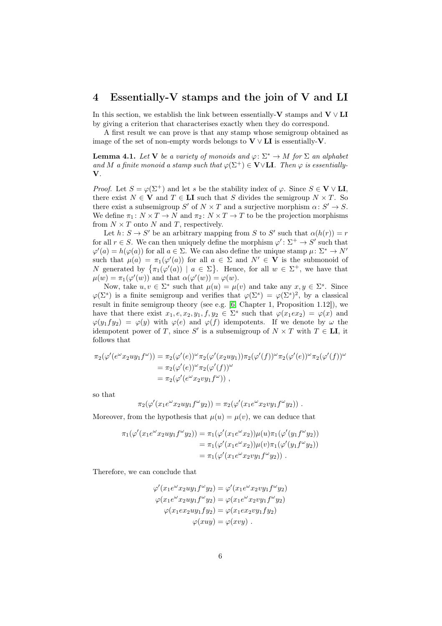#### 4 Essentially-V stamps and the join of V and LI

In this section, we establish the link between essentially- $V$  stamps and  $V \vee LI$ by giving a criterion that characterises exactly when they do correspond.

A first result we can prove is that any stamp whose semigroup obtained as image of the set of non-empty words belongs to  $V \vee L I$  is essentially-V.

<span id="page-5-0"></span>**Lemma 4.1.** Let **V** be a variety of monoids and  $\varphi \colon \Sigma^* \to M$  for  $\Sigma$  an alphabet and M a finite monoid a stamp such that  $\varphi(\Sigma^+) \in \mathbf{V} \vee \mathbf{LI}$ . Then  $\varphi$  is essentially-V.

*Proof.* Let  $S = \varphi(\Sigma^+)$  and let s be the stability index of  $\varphi$ . Since  $S \in V \vee LI$ , there exist  $N \in V$  and  $T \in LI$  such that S divides the semigroup  $N \times T$ . So there exist a subsemigroup S' of  $N \times T$  and a surjective morphism  $\alpha \colon S' \to S$ . We define  $\pi_1: N \times T \to N$  and  $\pi_2: N \times T \to T$  to be the projection morphisms from  $N \times T$  onto N and T, respectively.

Let  $h: S \to S'$  be an arbitrary mapping from S to S' such that  $\alpha(h(r)) = r$ for all  $r \in S$ . We can then uniquely define the morphism  $\varphi' : \Sigma^+ \to S'$  such that  $\varphi'(a) = h(\varphi(a))$  for all  $a \in \Sigma$ . We can also define the unique stamp  $\mu \colon \Sigma^* \to N'$ such that  $\mu(a) = \pi_1(\varphi'(a))$  for all  $a \in \Sigma$  and  $N' \in \mathbf{V}$  is the submonoid of N generated by  $\{\pi_1(\varphi'(a)) \mid a \in \Sigma\}$ . Hence, for all  $w \in \Sigma^+$ , we have that  $\mu(w) = \pi_1(\varphi'(w))$  and that  $\alpha(\varphi'(w)) = \varphi(w)$ .

Now, take  $u, v \in \Sigma^*$  such that  $\mu(u) = \mu(v)$  and take any  $x, y \in \Sigma^s$ . Since  $\varphi(\Sigma^s)$  is a finite semigroup and verifies that  $\varphi(\Sigma^s) = \varphi(\Sigma^s)^2$ , by a classical result in finite semigroup theory (see e.g. [6, Chapter 1, Proposition 1.12]), we have that there exist  $x_1, e, x_2, y_1, f, y_2 \in \Sigma^s$  such that  $\varphi(x_1 e x_2) = \varphi(x)$  and  $\varphi(y_1fy_2) = \varphi(y)$  with  $\varphi(e)$  and  $\varphi(f)$  idempotents. If we denote by  $\omega$  the idempotent power of T, since S' is a subsemigroup of  $N \times T$  with  $T \in \mathbf{LI}$ , it follows that

$$
\pi_2(\varphi'(e^{\omega}x_2uy_1f^{\omega})) = \pi_2(\varphi'(e))^{\omega}\pi_2(\varphi'(x_2uy_1))\pi_2(\varphi'(f))^{\omega}\pi_2(\varphi'(e))^{\omega}\pi_2(\varphi'(f))^{\omega}
$$
  
=  $\pi_2(\varphi'(e))^{\omega}\pi_2(\varphi'(f))^{\omega}$   
=  $\pi_2(\varphi'(e^{\omega}x_2vy_1f^{\omega}))$ ,

so that

$$
\pi_2(\varphi'(x_1 e^{\omega} x_2 u y_1 f^{\omega} y_2)) = \pi_2(\varphi'(x_1 e^{\omega} x_2 v y_1 f^{\omega} y_2)) .
$$

Moreover, from the hypothesis that  $\mu(u) = \mu(v)$ , we can deduce that

$$
\pi_1(\varphi'(x_1 e^{\omega} x_2 u y_1 f^{\omega} y_2)) = \pi_1(\varphi'(x_1 e^{\omega} x_2)) \mu(u) \pi_1(\varphi'(y_1 f^{\omega} y_2)) \n= \pi_1(\varphi'(x_1 e^{\omega} x_2)) \mu(v) \pi_1(\varphi'(y_1 f^{\omega} y_2)) \n= \pi_1(\varphi'(x_1 e^{\omega} x_2 v y_1 f^{\omega} y_2)) .
$$

Therefore, we can conclude that

$$
\varphi'(x_1 e^{\omega} x_2 u y_1 f^{\omega} y_2) = \varphi'(x_1 e^{\omega} x_2 v y_1 f^{\omega} y_2)
$$
  

$$
\varphi(x_1 e^{\omega} x_2 u y_1 f^{\omega} y_2) = \varphi(x_1 e^{\omega} x_2 v y_1 f^{\omega} y_2)
$$
  

$$
\varphi(x_1 e x_2 u y_1 f y_2) = \varphi(x_1 e x_2 v y_1 f y_2)
$$
  

$$
\varphi(x u y) = \varphi(x v y).
$$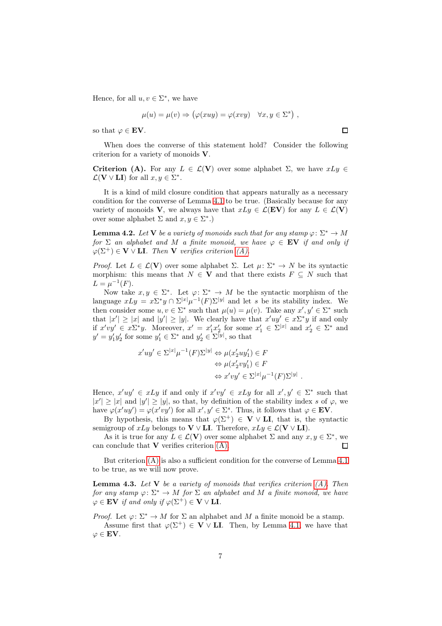Hence, for all  $u, v \in \Sigma^*$ , we have

$$
\mu(u) = \mu(v) \Rightarrow (\varphi(xuy) = \varphi(xvy) \quad \forall x, y \in \Sigma^s) ,
$$

so that  $\varphi \in \mathbf{EV}$ .

When does the converse of this statement hold? Consider the following criterion for a variety of monoids V.

<span id="page-6-0"></span>Criterion (A). For any  $L \in \mathcal{L}(\mathbf{V})$  over some alphabet  $\Sigma$ , we have  $xLy \in \mathcal{L}(\mathbf{V})$  $\mathcal{L}(\mathbf{V} \vee \mathbf{LI})$  for all  $x, y \in \Sigma^*$ .

It is a kind of mild closure condition that appears naturally as a necessary condition for the converse of Lemma [4.1](#page-5-0) to be true. (Basically because for any variety of monoids V, we always have that  $xLy \in \mathcal{L}(EV)$  for any  $L \in \mathcal{L}(V)$ over some alphabet  $\Sigma$  and  $x, y \in \Sigma^*$ .)

**Lemma 4.2.** Let **V** be a variety of monoids such that for any stamp  $\varphi: \Sigma^* \to M$ for  $\Sigma$  an alphabet and M a finite monoid, we have  $\varphi \in \mathbf{EV}$  if and only if  $\varphi(\Sigma^+) \in \mathbf{V} \vee \mathbf{LI}$ . Then **V** verifies criterion [\(A\).](#page-6-0)

*Proof.* Let  $L \in \mathcal{L}(\mathbf{V})$  over some alphabet  $\Sigma$ . Let  $\mu \colon \Sigma^* \to N$  be its syntactic morphism: this means that  $N \in V$  and that there exists  $F \subseteq N$  such that  $L = \mu^{-1}(F).$ 

Now take  $x, y \in \Sigma^*$ . Let  $\varphi: \Sigma^* \to M$  be the syntactic morphism of the language  $xLy = x\Sigma^* y \cap \Sigma^{|x|} \mu^{-1}(F)\Sigma^{|y|}$  and let s be its stability index. We then consider some  $u, v \in \Sigma^*$  such that  $\mu(u) = \mu(v)$ . Take any  $x', y' \in \Sigma^*$  such that  $|x'| \ge |x|$  and  $|y'| \ge |y|$ . We clearly have that  $x'uy' \in x\Sigma^*y$  if and only if  $x'vy' \in x\Sigma^*y$ . Moreover,  $x' = x'_1x'_2$  for some  $x'_1 \in \Sigma^{|x|}$  and  $x'_2 \in \Sigma^*$  and  $y' = y'_1 y'_2$  for some  $y'_1 \in \Sigma^*$  and  $y'_2 \in \Sigma^{|y|}$ , so that

$$
x'uy' \in \Sigma^{|x|}\mu^{-1}(F)\Sigma^{|y|} \Leftrightarrow \mu(x_2'uy_1') \in F
$$

$$
\Leftrightarrow \mu(x_2'vy_1') \in F
$$

$$
\Leftrightarrow x'vy' \in \Sigma^{|x|}\mu^{-1}(F)\Sigma^{|y|}
$$

.

Hence,  $x'uy' \in xLy$  if and only if  $x'vy' \in xLy$  for all  $x', y' \in \Sigma^*$  such that  $|x'| \ge |x|$  and  $|y'| \ge |y|$ , so that, by definition of the stability index s of  $\varphi$ , we have  $\varphi(x'uy') = \varphi(x'vy')$  for all  $x', y' \in \Sigma^s$ . Thus, it follows that  $\varphi \in \mathbf{EV}$ .

By hypothesis, this means that  $\varphi(\Sigma^+) \in V \vee L\mathbf{I}$ , that is, the syntactic semigroup of  $xLy$  belongs to  $V \vee LI$ . Therefore,  $xLy \in \mathcal{L}(V \vee LI)$ .

As it is true for any  $L \in \mathcal{L}(\mathbf{V})$  over some alphabet  $\Sigma$  and any  $x, y \in \Sigma^*$ , we can conclude that  $V$  verifies criterion  $(A)$ .  $\Box$ 

But criterion [\(A\)](#page-6-0) is also a sufficient condition for the converse of Lemma [4.1](#page-5-0) to be true, as we will now prove.

**Lemma 4.3.** Let  $V$  be a variety of monoids that verifies criterion  $(A)$ . Then for any stamp  $\varphi \colon \Sigma^* \to M$  for  $\Sigma$  an alphabet and M a finite monoid, we have  $\varphi \in \mathbf{EV}$  if and only if  $\varphi(\Sigma^+) \in \mathbf{V} \vee \mathbf{LI}$ .

*Proof.* Let  $\varphi: \Sigma^* \to M$  for  $\Sigma$  an alphabet and M a finite monoid be a stamp. Assume first that  $\varphi(\Sigma^+) \in \mathbf{V} \vee \mathbf{LI}$ . Then, by Lemma [4.1,](#page-5-0) we have that  $\varphi \in \mathbf{EV}$ .

 $\Box$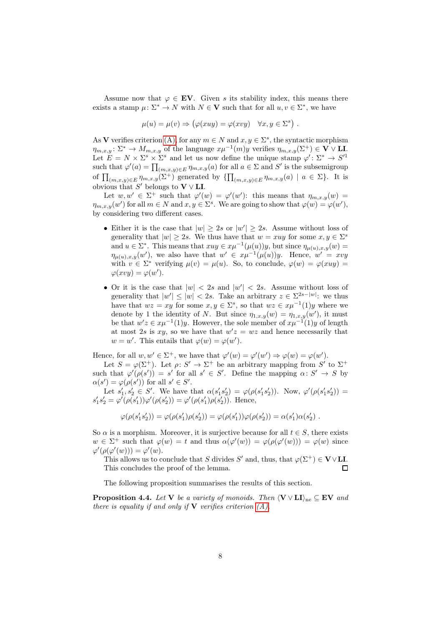Assume now that  $\varphi \in \mathbf{EV}$ . Given s its stability index, this means there exists a stamp  $\mu: \Sigma^* \to N$  with  $N \in V$  such that for all  $u, v \in \Sigma^*$ , we have

$$
\mu(u) = \mu(v) \Rightarrow (\varphi(xuy) = \varphi(xvy) \quad \forall x, y \in \Sigma^s) .
$$

As V verifies criterion [\(A\),](#page-6-0) for any  $m \in N$  and  $x, y \in \Sigma^s$ , the syntactic morphism  $\eta_{m,x,y} \colon \Sigma^* \to M_{m,x,y}$  of the language  $x\mu^{-1}(m)y$  verifies  $\eta_{m,x,y}(\Sigma^+) \in V \vee \mathbf{L}$ . Let  $E = N \times \Sigma^s \times \Sigma^s$  and let us now define the unique stamp  $\varphi' : \Sigma^* \to S'^1$ such that  $\varphi'(a) = \prod_{(m,x,y)\in E} \eta_{m,x,y}(a)$  for all  $a \in \Sigma$  and  $S'$  is the subsemigroup of  $\prod_{(m,x,y)\in E} \eta_{m,x,y}(\Sigma^+)^{\sigma}$  generated by  $\{\prod_{(m,x,y)\in E} \eta_{m,x,y}(a) \mid a \in \Sigma\}$ . It is obvious that S' belongs to  $V \vee LI$ .

Let  $w, w' \in \Sigma^+$  such that  $\varphi'(w) = \varphi'(w')$ : this means that  $\eta_{m,x,y}(w) =$  $\eta_{m,x,y}(w')$  for all  $m \in N$  and  $x, y \in \Sigma^s$ . We are going to show that  $\varphi(w) = \varphi(w')$ , by considering two different cases.

- Either it is the case that  $|w| \geq 2s$  or  $|w'| \geq 2s$ . Assume without loss of generality that  $|w| \geq 2s$ . We thus have that  $w = xuy$  for some  $x, y \in \Sigma^s$ and  $u \in \Sigma^*$ . This means that  $xuy \in x\mu^{-1}(\mu(u))y$ , but since  $\eta_{\mu(u),x,y}(w) =$  $\eta_{\mu(u),x,y}(w')$ , we also have that  $w' \in x\mu^{-1}(\mu(u))y$ . Hence,  $w' = xvy$ with  $v \in \Sigma^*$  verifying  $\mu(v) = \mu(u)$ . So, to conclude,  $\varphi(w) = \varphi(xuy) = \varphi(xuy)$  $\varphi(xvy) = \varphi(w').$
- Or it is the case that  $|w| < 2s$  and  $|w'| < 2s$ . Assume without loss of generality that  $|w'| \le |w| < 2s$ . Take an arbitrary  $z \in \Sigma^{2s-|w|}$ : we thus have that  $wz = xy$  for some  $x, y \in \Sigma^s$ , so that  $wz \in x\mu^{-1}(1)y$  where we denote by 1 the identity of N. But since  $\eta_{1,x,y}(w) = \eta_{1,x,y}(w')$ , it must be that  $w'z \in x\mu^{-1}(1)y$ . However, the sole member of  $x\mu^{-1}(1)y$  of length at most 2s is xy, so we have that  $w'z = wz$  and hence necessarily that  $w = w'$ . This entails that  $\varphi(w) = \varphi(w')$ .

Hence, for all  $w, w' \in \Sigma^+$ , we have that  $\varphi'(w) = \varphi'(w') \Rightarrow \varphi(w) = \varphi(w')$ .

Let  $S = \varphi(\Sigma^+)$ . Let  $\rho: S' \to \Sigma^+$  be an arbitrary mapping from S' to  $\Sigma^+$ such that  $\varphi'(\rho(s')) = s'$  for all  $s' \in S'$ . Define the mapping  $\alpha \colon S' \to S$  by  $\alpha(s') = \varphi(\rho(s'))$  for all  $s' \in S'$ .

Let  $s'_1, s'_2 \in S'$ . We have that  $\alpha(s'_1 s'_2) = \varphi(\rho(s'_1 s'_2))$ . Now,  $\varphi'(\rho(s'_1 s'_2)) =$  $s'_1 s'_2 = \varphi'(\rho(s'_1)) \varphi'(\rho(s'_2)) = \varphi'(\rho(s'_1) \rho(s'_2)).$  Hence,

$$
\varphi(\rho(s_1's_2'))=\varphi(\rho(s_1')\rho(s_2'))=\varphi(\rho(s_1'))\varphi(\rho(s_2'))=\alpha(s_1')\alpha(s_2')\ .
$$

So  $\alpha$  is a morphism. Moreover, it is surjective because for all  $t \in S$ , there exists  $w \in \Sigma^+$  such that  $\varphi(w) = t$  and thus  $\alpha(\varphi'(w)) = \varphi(\varphi(\varphi'(w))) = \varphi(w)$  since  $\varphi'(\rho(\varphi'(w))) = \varphi'(w).$ 

This allows us to conclude that S divides S' and, thus, that  $\varphi(\Sigma^+) \in \mathbf{V} \vee \mathbf{L}\mathbf{I}$ . This concludes the proof of the lemma. П

The following proposition summarises the results of this section.

<span id="page-7-0"></span>**Proposition 4.4.** Let V be a variety of monoids. Then  $\langle V \vee L I \rangle_{\text{ne}} \subseteq EV$  and there is equality if and only if  $V$  verifies criterion  $(A)$ .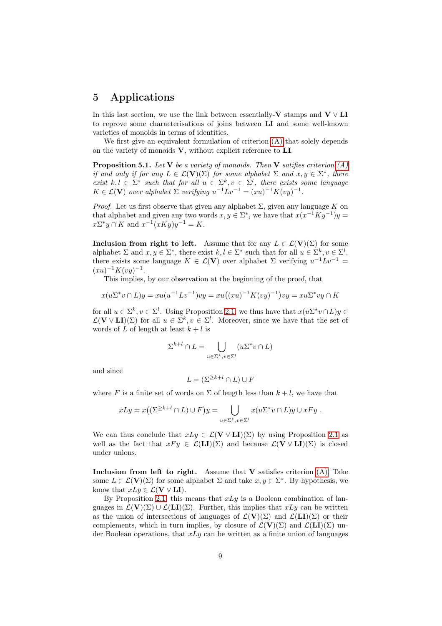# 5 Applications

In this last section, we use the link between essentially-V stamps and  $V \vee LI$ to reprove some characterisations of joins between LI and some well-known varieties of monoids in terms of identities.

We first give an equivalent formulation of criterion  $(A)$  that solely depends on the variety of monoids V, without explicit reference to LI.

<span id="page-8-0"></span>**Proposition 5.1.** Let **V** be a variety of monoids. Then **V** satifies criterion  $(A)$ if and only if for any  $L \in \mathcal{L}(\mathbf{V})(\Sigma)$  for some alphabet  $\Sigma$  and  $x, y \in \Sigma^*$ , there exist  $k, l \in \Sigma^*$  such that for all  $u \in \Sigma^k, v \in \Sigma^l$ , there exists some language  $K \in \mathcal{L}(\mathbf{V})$  over alphabet  $\Sigma$  verifying  $u^{-1}Lv^{-1} = (xu)^{-1}K(vy)^{-1}$ .

*Proof.* Let us first observe that given any alphabet  $\Sigma$ , given any language K on that alphabet and given any two words  $x, y \in \Sigma^*$ , we have that  $x(x^{-1}Ky^{-1})y =$  $x\Sigma^*y \cap K$  and  $x^{-1}(xKy)y^{-1} = K$ .

Inclusion from right to left. Assume that for any  $L \in \mathcal{L}(\mathbf{V})(\Sigma)$  for some alphabet  $\Sigma$  and  $x, y \in \Sigma^*$ , there exist  $k, l \in \Sigma^*$  such that for all  $u \in \Sigma^k, v \in \Sigma^l$ , there exists some language  $K \in \mathcal{L}(\mathbf{V})$  over alphabet  $\Sigma$  verifying  $u^{-1}Lv^{-1} =$  $(xu)^{-1}K(vy)^{-1}.$ 

This implies, by our observation at the beginning of the proof, that

$$
x(u\Sigma^* v \cap L)y = xu(u^{-1}Lv^{-1})vy = xu((xu)^{-1}K(vy)^{-1})vy = xu\Sigma^* vy \cap K
$$

for all  $u \in \Sigma^k, v \in \Sigma^l$ . Using Proposition [2.1,](#page-1-1) we thus have that  $x(u\Sigma^* v \cap L)y \in$  $\mathcal{L}(\mathbf{V} \vee \mathbf{L}\mathbf{I})(\Sigma)$  for all  $u \in \Sigma^k, v \in \Sigma^l$ . Moreover, since we have that the set of words of L of length at least  $k + l$  is

$$
\Sigma^{k+l} \cap L = \bigcup_{u \in \Sigma^k, v \in \Sigma^l} (u\Sigma^* v \cap L)
$$

and since

$$
L = (\Sigma^{\ge k+l} \cap L) \cup F
$$

where F is a finite set of words on  $\Sigma$  of length less than  $k+l$ , we have that

$$
xLy = x((\Sigma^{\ge k+l} \cap L) \cup F)y = \bigcup_{u \in \Sigma^k, v \in \Sigma^l} x(u\Sigma^* v \cap L)y \cup xFy.
$$

We can thus conclude that  $xLy \in \mathcal{L}(\mathbf{V} \vee \mathbf{LI})(\Sigma)$  by using Proposition [2.1](#page-1-1) as well as the fact that  $xF y \in \mathcal{L}(\mathbf{LI})(\Sigma)$  and because  $\mathcal{L}(\mathbf{V} \vee \mathbf{LI})(\Sigma)$  is closed under unions.

Inclusion from left to right. Assume that  $V$  satisfies criterion  $(A)$ . Take some  $L \in \mathcal{L}(\mathbf{V})(\Sigma)$  for some alphabet  $\Sigma$  and take  $x, y \in \Sigma^*$ . By hypothesis, we know that  $xLy \in \mathcal{L}(\mathbf{V} \vee \mathbf{LI}).$ 

By Proposition [2.1,](#page-1-1) this means that  $xLy$  is a Boolean combination of languages in  $\mathcal{L}(\mathbf{V})(\Sigma) \cup \mathcal{L}(\mathbf{LI})(\Sigma)$ . Further, this implies that  $xLy$  can be written as the union of intersections of languages of  $\mathcal{L}(\mathbf{V})(\Sigma)$  and  $\mathcal{L}(\mathbf{LI})(\Sigma)$  or their complements, which in turn implies, by closure of  $\mathcal{L}(\mathbf{V})(\Sigma)$  and  $\mathcal{L}(\mathbf{LI})(\Sigma)$  under Boolean operations, that  $xLu$  can be written as a finite union of languages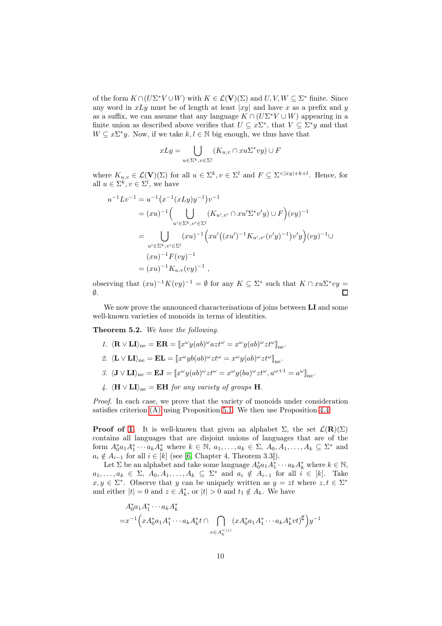of the form  $K \cap (U\Sigma^* V \cup W)$  with  $K \in \mathcal{L}(\mathbf{V})(\Sigma)$  and  $U, V, W \subseteq \Sigma^*$  finite. Since any word in  $xLy$  must be of length at least |xy| and have x as a prefix and y as a suffix, we can assume that any language  $K \cap (U\Sigma^* V \cup W)$  appearing in a finite union as described above verifies that  $U \subseteq x\Sigma^*$ , that  $V \subseteq \Sigma^* y$  and that  $W \subseteq x\Sigma^*y$ . Now, if we take  $k, l \in \mathbb{N}$  big enough, we thus have that

$$
xLy = \bigcup_{u \in \Sigma^k, v \in \Sigma^l} (K_{u,v} \cap xu\Sigma^* vy) \cup F
$$

where  $K_{u,v} \in \mathcal{L}(\mathbf{V})(\Sigma)$  for all  $u \in \Sigma^k, v \in \Sigma^l$  and  $F \subseteq \Sigma^{<|xy|+k+l}$ . Hence, for all  $u \in \Sigma^k, v \in \Sigma^l$ , we have

$$
u^{-1}Lv^{-1} = u^{-1}(x^{-1}(xLy)y^{-1})v^{-1}
$$
  
=  $(xu)^{-1}\left(\bigcup_{u' \in \Sigma^k, v' \in \Sigma^l} (K_{u',v'} \cap xu'\Sigma^*v'y) \cup F\right)(vy)^{-1}$   
= 
$$
\bigcup_{u' \in \Sigma^k, v' \in \Sigma^l} (xu)^{-1}\left(xu'\left((xu')^{-1}K_{u',v'}(v'y)^{-1}\right)v'y\right)(vy)^{-1} \cup
$$
  
=  $(xu)^{-1}F(vy)^{-1}$   
=  $(xu)^{-1}K_{u,v}(vy)^{-1}$ ,

observing that  $(xu)^{-1}K(vy)^{-1} = \emptyset$  for any  $K \subseteq \Sigma^*$  such that  $K \cap xu\Sigma^* vy =$ ∅. П

We now prove the announced characterisations of joins between LI and some well-known varieties of monoids in terms of identities.

<span id="page-9-0"></span>Theorem 5.2. We have the following.

- <span id="page-9-2"></span><span id="page-9-1"></span>1.  $\langle \mathbf{R} \vee \mathbf{L} \mathbf{I} \rangle_{\text{ne}} = \mathbf{E} \mathbf{R} = [x^{\omega} y (ab)^{\omega} a z t^{\omega} = x^{\omega} y (ab)^{\omega} z t^{\omega}]_{\text{ne}}.$ 2.  $\langle \mathbf{L} \vee \mathbf{L} \mathbf{I} \rangle_{\text{ne}} = \mathbf{E} \mathbf{L} = \llbracket x^{\omega} y b(ab)^{\omega} z t^{\omega} = x^{\omega} y(ab)^{\omega} z t^{\omega} \rrbracket_{\text{ne}}.$ 3.  $\langle \mathbf{J} \vee \mathbf{L} \mathbf{I} \rangle_{\text{ne}} = \mathbf{E} \mathbf{J} = [x^{\omega} y (ab)^{\omega} z t^{\omega} = x^{\omega} y (ba)^{\omega} z t^{\omega}, a^{\omega+1} = a^{\omega} ]_{\text{ne}}.$
- 4.  $\langle H \vee L I \rangle_{\text{ne}} = EH$  for any variety of groups H.

Proof. In each case, we prove that the variety of monoids under consideration satisfies criterion [\(A\)](#page-6-0) using Proposition [5.1.](#page-8-0) We then use Proposition [4.4.](#page-7-0)

**Proof of [1.](#page-9-0)** It is well-known that given an alphabet  $\Sigma$ , the set  $\mathcal{L}(\mathbf{R})(\Sigma)$ contains all languages that are disjoint unions of languages that are of the form  $A_0^* a_1 A_1^* \cdots a_k A_k^*$  where  $k \in \mathbb{N}, a_1, \ldots, a_k \in \Sigma, A_0, A_1, \ldots, A_k \subseteq \Sigma^*$  and  $a_i \notin A_{i-1}$  for all  $i \in [k]$  (see [6, Chapter 4, Theorem 3.3]).

Let  $\Sigma$  be an alphabet and take some language  $A_0^* a_1 A_1^* \cdots a_k A_k^*$  where  $k \in \mathbb{N}$ ,  $a_1, \ldots, a_k \in \Sigma$ ,  $A_0, A_1, \ldots, A_k \subseteq \Sigma^*$  and  $a_i \notin A_{i-1}$  for all  $i \in [k]$ . Take  $x, y \in \Sigma^*$ . Observe that y can be uniquely written as  $y = zt$  where  $z, t \in \Sigma^*$ and either  $|t| = 0$  and  $z \in A_k^*$ , or  $|t| > 0$  and  $t_1 \notin A_k$ . We have

$$
A_0^* a_1 A_1^* \cdots a_k A_k^*
$$
  
= $x^{-1} \Big( x A_0^* a_1 A_1^* \cdots a_k A_k^* t \cap \bigcap_{v \in A_k^{<|z|}} (x A_0^* a_1 A_1^* \cdots a_k A_k^* v t)^{\complement} \Big) y^{-1}$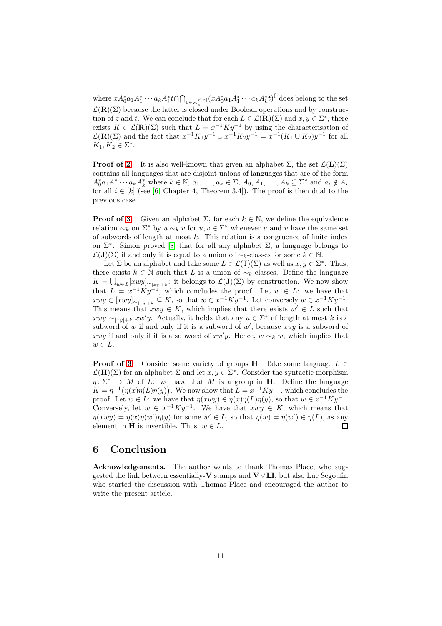where  $xA_0^*a_1A_1^*\cdots a_kA_k^*t\cap \bigcap_{v\in A_k^{<|z|}}(xA_0^*a_1A_1^*\cdots a_kA_k^*t)^{\complement}$  does belong to the set  $\mathcal{L}(\mathbf{R})(\Sigma)$  because the latter is closed under Boolean operations and by construction of z and t. We can conclude that for each  $L \in \mathcal{L}(\mathbf{R})(\Sigma)$  and  $x, y \in \Sigma^*$ , there exists  $K \in \mathcal{L}(\mathbf{R})(\Sigma)$  such that  $L = x^{-1}Ky^{-1}$  by using the characterisation of  $\mathcal{L}(\mathbf{R})(\Sigma)$  and the fact that  $x^{-1}K_1y^{-1} \cup x^{-1}K_2y^{-1} = x^{-1}(K_1 \cup K_2)y^{-1}$  for all  $K_1, K_2 \in \Sigma^*$ .

**Proof of [2.](#page-9-1)** It is also well-known that given an alphabet  $\Sigma$ , the set  $\mathcal{L}(\mathbf{L})(\Sigma)$ contains all languages that are disjoint unions of languages that are of the form  $A_0^*a_1A_1^*\cdots a_kA_k^*$  where  $k\in\mathbb{N}, a_1,\ldots,a_k\in\Sigma, A_0,A_1,\ldots,A_k\subseteq\Sigma^*$  and  $a_i\notin A_i$ for all  $i \in [k]$  (see [6, Chapter 4, Theorem 3.4]). The proof is then dual to the previous case.

**Proof of [3.](#page-9-2)** Given an alphabet  $\Sigma$ , for each  $k \in \mathbb{N}$ , we define the equivalence relation  $\sim_k$  on  $\Sigma^*$  by  $u \sim_k v$  for  $u, v \in \Sigma^*$  whenever u and v have the same set of subwords of length at most  $k$ . This relation is a congruence of finite index on  $\Sigma^*$ . Simon proved [\[8\]](#page-11-4) that for all any alphabet  $\Sigma$ , a language belongs to  $\mathcal{L}(\mathbf{J})(\Sigma)$  if and only it is equal to a union of  $\sim_k$ -classes for some  $k \in \mathbb{N}$ .

Let  $\Sigma$  be an alphabet and take some  $L \in \mathcal{L}(\mathbf{J})(\Sigma)$  as well as  $x, y \in \Sigma^*$ . Thus, there exists  $k \in \mathbb{N}$  such that L is a union of  $\sim_k$ -classes. Define the language  $K = \bigcup_{w \in L} [xwy]_{\sim_{|xy|+k}}$ : it belongs to  $\mathcal{L}(\mathbf{J})(\Sigma)$  by construction. We now show that  $L = x^{-1} Ky^{-1}$ , which concludes the proof. Let  $w \in L$ : we have that  $xwy \in [xwy]_{\sim_{|xy|+k}} \subseteq K$ , so that  $w \in x^{-1}Ky^{-1}$ . Let conversely  $w \in x^{-1}Ky^{-1}$ . This means that  $xwy \in K$ , which implies that there exists  $w' \in L$  such that  $xwy \sim_{|xy|+k} xw'y$ . Actually, it holds that any  $u \in \Sigma^*$  of length at most k is a subword of w if and only if it is a subword of  $w'$ , because  $xuy$  is a subword of xwy if and only if it is a subword of xw'y. Hence,  $w \sim_k w$ , which implies that  $w \in L$ .

**Proof of [3.](#page-9-2)** Consider some variety of groups **H**. Take some language  $L \in$  $\mathcal{L}(\mathbf{H})(\Sigma)$  for an alphabet  $\Sigma$  and let  $x, y \in \Sigma^*$ . Consider the syntactic morphism  $\eta: \Sigma^* \to M$  of L: we have that M is a group in H. Define the language  $K = \eta^{-1}(\eta(x)\eta(L)\eta(y))$ . We now show that  $L = x^{-1}Ky^{-1}$ , which concludes the proof. Let  $w \in L$ : we have that  $\eta(xwy) \in \eta(x)\eta(L)\eta(y)$ , so that  $w \in x^{-1}Ky^{-1}$ . Conversely, let  $w \in x^{-1}Ky^{-1}$ . We have that  $xwy \in K$ , which means that  $\eta(xwy) = \eta(x)\eta(w')\eta(y)$  for some  $w' \in L$ , so that  $\eta(w) = \eta(w') \in \eta(L)$ , as any element in **H** is invertible. Thus,  $w \in L$ .  $\Box$ 

#### 6 Conclusion

Acknowledgements. The author wants to thank Thomas Place, who suggested the link between essentially- $V$  stamps and  $V \vee LI$ , but also Luc Segoufin who started the discussion with Thomas Place and encouraged the author to write the present article.